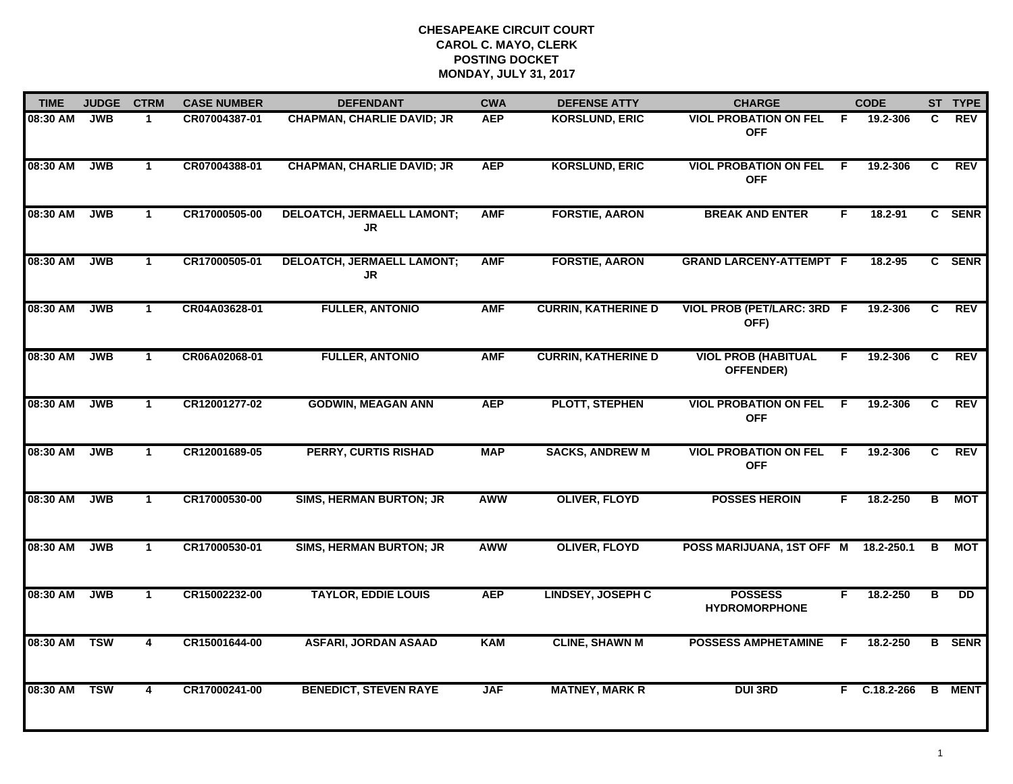| <b>TIME</b> | <b>JUDGE</b> | <b>CTRM</b>  | <b>CASE NUMBER</b> | <b>DEFENDANT</b>                        | <b>CWA</b> | <b>DEFENSE ATTY</b>        | <b>CHARGE</b>                              |     | <b>CODE</b>  |                | ST TYPE         |
|-------------|--------------|--------------|--------------------|-----------------------------------------|------------|----------------------------|--------------------------------------------|-----|--------------|----------------|-----------------|
| 08:30 AM    | <b>JWB</b>   | $\mathbf 1$  | CR07004387-01      | <b>CHAPMAN, CHARLIE DAVID; JR</b>       | <b>AEP</b> | <b>KORSLUND, ERIC</b>      | <b>VIOL PROBATION ON FEL</b><br><b>OFF</b> | -F. | 19.2-306     | C.             | REV             |
| 08:30 AM    | <b>JWB</b>   | $\mathbf{1}$ | CR07004388-01      | <b>CHAPMAN, CHARLIE DAVID; JR</b>       | <b>AEP</b> | <b>KORSLUND, ERIC</b>      | <b>VIOL PROBATION ON FEL</b><br><b>OFF</b> | F.  | 19.2-306     | C.             | <b>REV</b>      |
| 08:30 AM    | <b>JWB</b>   | $\mathbf{1}$ | CR17000505-00      | <b>DELOATCH, JERMAELL LAMONT;</b><br>JR | <b>AMF</b> | <b>FORSTIE, AARON</b>      | <b>BREAK AND ENTER</b>                     | F.  | 18.2-91      |                | C SENR          |
| 08:30 AM    | <b>JWB</b>   | $\mathbf 1$  | CR17000505-01      | <b>DELOATCH, JERMAELL LAMONT;</b><br>JR | <b>AMF</b> | <b>FORSTIE, AARON</b>      | <b>GRAND LARCENY-ATTEMPT F</b>             |     | 18.2-95      |                | C SENR          |
| 08:30 AM    | <b>JWB</b>   | $\mathbf 1$  | CR04A03628-01      | <b>FULLER, ANTONIO</b>                  | <b>AMF</b> | <b>CURRIN, KATHERINE D</b> | VIOL PROB (PET/LARC: 3RD F<br>OFF)         |     | 19.2-306     | C              | <b>REV</b>      |
| 08:30 AM    | <b>JWB</b>   | $\mathbf{1}$ | CR06A02068-01      | <b>FULLER, ANTONIO</b>                  | <b>AMF</b> | <b>CURRIN, KATHERINE D</b> | <b>VIOL PROB (HABITUAL</b><br>OFFENDER)    | F.  | 19.2-306     | C              | <b>REV</b>      |
| 08:30 AM    | <b>JWB</b>   | $\mathbf{1}$ | CR12001277-02      | <b>GODWIN, MEAGAN ANN</b>               | <b>AEP</b> | <b>PLOTT, STEPHEN</b>      | <b>VIOL PROBATION ON FEL</b><br><b>OFF</b> | F.  | 19.2-306     | C              | REV             |
| 08:30 AM    | <b>JWB</b>   | $\mathbf 1$  | CR12001689-05      | <b>PERRY, CURTIS RISHAD</b>             | <b>MAP</b> | <b>SACKS, ANDREW M</b>     | <b>VIOL PROBATION ON FEL</b><br><b>OFF</b> | F.  | 19.2-306     | C.             | REV             |
| 08:30 AM    | <b>JWB</b>   | $\mathbf{1}$ | CR17000530-00      | <b>SIMS, HERMAN BURTON; JR</b>          | AWW        | <b>OLIVER, FLOYD</b>       | <b>POSSES HEROIN</b>                       | F.  | 18.2-250     | в              | MOT             |
| 08:30 AM    | <b>JWB</b>   | $\mathbf{1}$ | CR17000530-01      | <b>SIMS, HERMAN BURTON; JR</b>          | <b>AWW</b> | <b>OLIVER, FLOYD</b>       | POSS MARIJUANA, 1ST OFF M 18.2-250.1       |     |              | в              | МОТ             |
| 08:30 AM    | <b>JWB</b>   | $\mathbf{1}$ | CR15002232-00      | <b>TAYLOR, EDDIE LOUIS</b>              | <b>AEP</b> | <b>LINDSEY, JOSEPH C</b>   | <b>POSSESS</b><br><b>HYDROMORPHONE</b>     | F   | 18.2-250     | $\overline{B}$ | $\overline{DD}$ |
| 08:30 AM    | <b>TSW</b>   | 4            | CR15001644-00      | <b>ASFARI, JORDAN ASAAD</b>             | <b>KAM</b> | <b>CLINE, SHAWN M</b>      | <b>POSSESS AMPHETAMINE</b>                 | F.  | 18.2-250     |                | <b>B</b> SENR   |
| 08:30 AM    | <b>TSW</b>   | 4            | CR17000241-00      | <b>BENEDICT, STEVEN RAYE</b>            | <b>JAF</b> | <b>MATNEY, MARK R</b>      | <b>DUI3RD</b>                              |     | F C.18.2-266 |                | <b>B</b> MENT   |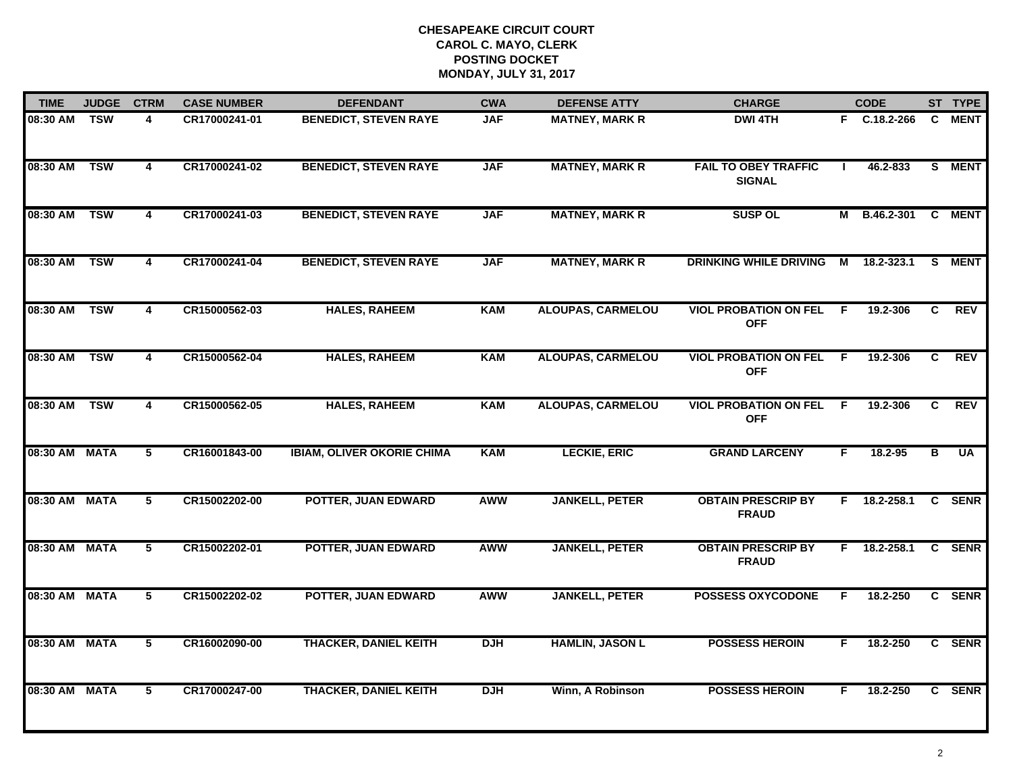| <b>TIME</b>   | <b>JUDGE</b> | <b>CTRM</b>             | <b>CASE NUMBER</b> | <b>DEFENDANT</b>                  | <b>CWA</b> | <b>DEFENSE ATTY</b>      | <b>CHARGE</b>                                |     | <b>CODE</b>  |    | ST TYPE    |
|---------------|--------------|-------------------------|--------------------|-----------------------------------|------------|--------------------------|----------------------------------------------|-----|--------------|----|------------|
| 08:30 AM      | TSW          | 4                       | CR17000241-01      | <b>BENEDICT, STEVEN RAYE</b>      | <b>JAF</b> | <b>MATNEY, MARK R</b>    | <b>DWI 4TH</b>                               |     | F C.18.2-266 |    | C MENT     |
| 08:30 AM      | <b>TSW</b>   | $\overline{\mathbf{4}}$ | CR17000241-02      | <b>BENEDICT, STEVEN RAYE</b>      | <b>JAF</b> | <b>MATNEY, MARK R</b>    | <b>FAIL TO OBEY TRAFFIC</b><br><b>SIGNAL</b> |     | 46.2-833     |    | S MENT     |
| 08:30 AM      | <b>TSW</b>   | 4                       | CR17000241-03      | <b>BENEDICT, STEVEN RAYE</b>      | <b>JAF</b> | <b>MATNEY, MARK R</b>    | <b>SUSP OL</b>                               |     | M B.46.2-301 |    | C MENT     |
| 08:30 AM      | <b>TSW</b>   | 4                       | CR17000241-04      | <b>BENEDICT, STEVEN RAYE</b>      | <b>JAF</b> | <b>MATNEY, MARK R</b>    | <b>DRINKING WHILE DRIVING</b>                | М   | 18.2-323.1   | S. | MENT       |
| 08:30 AM      | <b>TSW</b>   | 4                       | CR15000562-03      | <b>HALES, RAHEEM</b>              | <b>KAM</b> | <b>ALOUPAS, CARMELOU</b> | <b>VIOL PROBATION ON FEL</b><br><b>OFF</b>   | F.  | 19.2-306     | C  | <b>REV</b> |
| 08:30 AM TSW  |              | 4                       | CR15000562-04      | <b>HALES, RAHEEM</b>              | <b>KAM</b> | <b>ALOUPAS, CARMELOU</b> | <b>VIOL PROBATION ON FEL</b><br><b>OFF</b>   | -F. | 19.2-306     | C. | <b>REV</b> |
| 08:30 AM      | <b>TSW</b>   | $\overline{\mathbf{4}}$ | CR15000562-05      | <b>HALES, RAHEEM</b>              | <b>KAM</b> | <b>ALOUPAS, CARMELOU</b> | <b>VIOL PROBATION ON FEL</b><br><b>OFF</b>   | F.  | 19.2-306     | C  | <b>REV</b> |
| 08:30 AM MATA |              | $\overline{5}$          | CR16001843-00      | <b>IBIAM, OLIVER OKORIE CHIMA</b> | <b>KAM</b> | <b>LECKIE, ERIC</b>      | <b>GRAND LARCENY</b>                         | F.  | 18.2-95      | в  | <b>UA</b>  |
| 08:30 AM MATA |              | 5                       | CR15002202-00      | <b>POTTER, JUAN EDWARD</b>        | <b>AWW</b> | <b>JANKELL, PETER</b>    | <b>OBTAIN PRESCRIP BY</b><br><b>FRAUD</b>    | F.  | 18.2-258.1   |    | C SENR     |
| 08:30 AM MATA |              | 5                       | CR15002202-01      | POTTER, JUAN EDWARD               | <b>AWW</b> | <b>JANKELL, PETER</b>    | <b>OBTAIN PRESCRIP BY</b><br><b>FRAUD</b>    | F.  | 18.2-258.1   |    | C SENR     |
| 08:30 AM MATA |              | 5                       | CR15002202-02      | POTTER, JUAN EDWARD               | <b>AWW</b> | <b>JANKELL, PETER</b>    | <b>POSSESS OXYCODONE</b>                     | F.  | 18.2-250     |    | C SENR     |
| 08:30 AM MATA |              | $\overline{5}$          | CR16002090-00      | <b>THACKER, DANIEL KEITH</b>      | <b>DJH</b> | <b>HAMLIN, JASON L</b>   | <b>POSSESS HEROIN</b>                        | F.  | 18.2-250     |    | C SENR     |
| 08:30 AM MATA |              | 5                       | CR17000247-00      | <b>THACKER, DANIEL KEITH</b>      | <b>DJH</b> | Winn, A Robinson         | <b>POSSESS HEROIN</b>                        | F.  | 18.2-250     |    | C SENR     |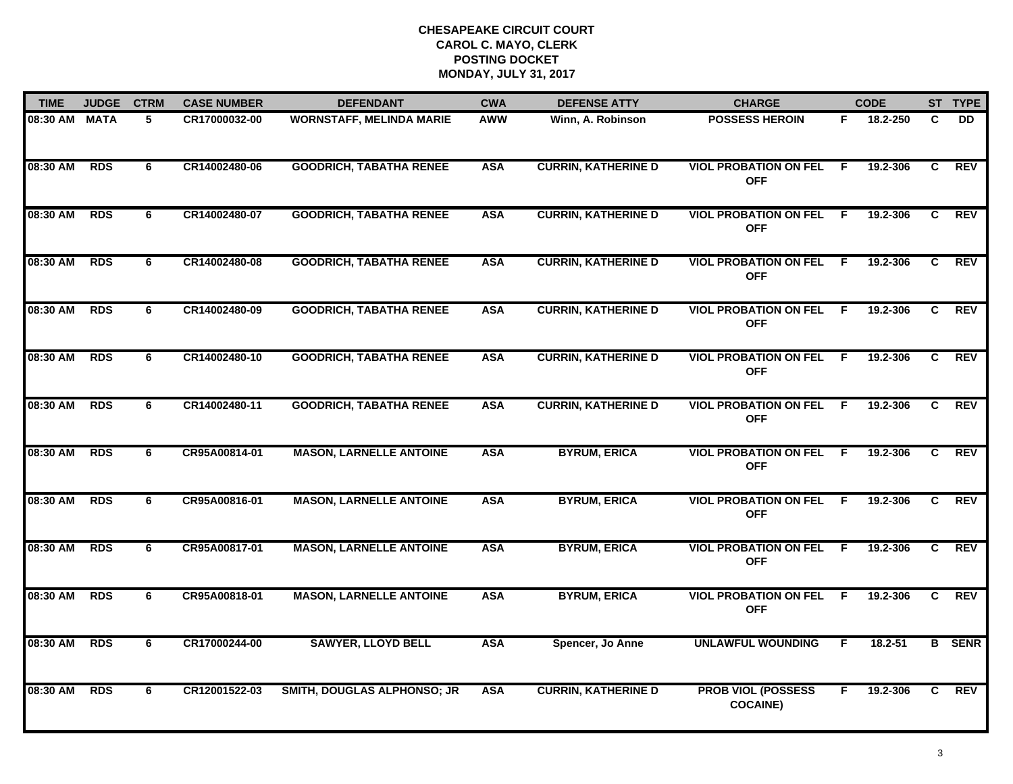| <b>TIME</b>   | <b>JUDGE</b> | <b>CTRM</b> | <b>CASE NUMBER</b> | <b>DEFENDANT</b>                   | <b>CWA</b> | <b>DEFENSE ATTY</b>        | <b>CHARGE</b>                                |     | <b>CODE</b> |    | ST TYPE       |
|---------------|--------------|-------------|--------------------|------------------------------------|------------|----------------------------|----------------------------------------------|-----|-------------|----|---------------|
| 08:30 AM MATA |              | 5           | CR17000032-00      | <b>WORNSTAFF, MELINDA MARIE</b>    | AWW        | Winn, A. Robinson          | <b>POSSESS HEROIN</b>                        | F.  | 18.2-250    | C  | DD.           |
| 08:30 AM      | <b>RDS</b>   | 6           | CR14002480-06      | <b>GOODRICH, TABATHA RENEE</b>     | <b>ASA</b> | <b>CURRIN, KATHERINE D</b> | <b>VIOL PROBATION ON FEL</b><br><b>OFF</b>   | F.  | 19.2-306    | C  | REV           |
| 08:30 AM      | <b>RDS</b>   | 6           | CR14002480-07      | <b>GOODRICH, TABATHA RENEE</b>     | <b>ASA</b> | <b>CURRIN, KATHERINE D</b> | <b>VIOL PROBATION ON FEL</b><br><b>OFF</b>   | -F  | 19.2-306    | C  | <b>REV</b>    |
| 08:30 AM      | <b>RDS</b>   | 6           | CR14002480-08      | <b>GOODRICH, TABATHA RENEE</b>     | <b>ASA</b> | <b>CURRIN, KATHERINE D</b> | <b>VIOL PROBATION ON FEL</b><br><b>OFF</b>   | - F | 19.2-306    | C  | <b>REV</b>    |
| 08:30 AM      | <b>RDS</b>   | 6           | CR14002480-09      | <b>GOODRICH, TABATHA RENEE</b>     | <b>ASA</b> | <b>CURRIN, KATHERINE D</b> | <b>VIOL PROBATION ON FEL</b><br><b>OFF</b>   | F.  | 19.2-306    | C  | <b>REV</b>    |
| 08:30 AM      | <b>RDS</b>   | 6           | CR14002480-10      | <b>GOODRICH, TABATHA RENEE</b>     | <b>ASA</b> | <b>CURRIN, KATHERINE D</b> | <b>VIOL PROBATION ON FEL F</b><br><b>OFF</b> |     | 19.2-306    | C. | <b>REV</b>    |
| 08:30 AM      | <b>RDS</b>   | 6           | CR14002480-11      | <b>GOODRICH, TABATHA RENEE</b>     | <b>ASA</b> | <b>CURRIN, KATHERINE D</b> | <b>VIOL PROBATION ON FEL</b><br><b>OFF</b>   | -F. | 19.2-306    | C. | REV           |
| 08:30 AM      | <b>RDS</b>   | 6           | CR95A00814-01      | <b>MASON, LARNELLE ANTOINE</b>     | <b>ASA</b> | <b>BYRUM, ERICA</b>        | <b>VIOL PROBATION ON FEL</b><br><b>OFF</b>   | -F  | 19.2-306    | C  | REV           |
| 08:30 AM      | <b>RDS</b>   | 6           | CR95A00816-01      | <b>MASON, LARNELLE ANTOINE</b>     | <b>ASA</b> | <b>BYRUM, ERICA</b>        | <b>VIOL PROBATION ON FEL</b><br><b>OFF</b>   | -F  | 19.2-306    | C  | <b>REV</b>    |
| 08:30 AM      | <b>RDS</b>   | 6           | CR95A00817-01      | <b>MASON, LARNELLE ANTOINE</b>     | <b>ASA</b> | <b>BYRUM, ERICA</b>        | <b>VIOL PROBATION ON FEL</b><br><b>OFF</b>   | F.  | 19.2-306    | C. | <b>REV</b>    |
| 08:30 AM      | <b>RDS</b>   | 6           | CR95A00818-01      | <b>MASON, LARNELLE ANTOINE</b>     | <b>ASA</b> | <b>BYRUM, ERICA</b>        | <b>VIOL PROBATION ON FEL</b><br><b>OFF</b>   | -F  | 19.2-306    | C  | <b>REV</b>    |
| 08:30 AM      | <b>RDS</b>   | 6           | CR17000244-00      | <b>SAWYER, LLOYD BELL</b>          | <b>ASA</b> | Spencer, Jo Anne           | <b>UNLAWFUL WOUNDING</b>                     | F.  | 18.2-51     |    | <b>B</b> SENR |
| 08:30 AM      | <b>RDS</b>   | 6           | CR12001522-03      | <b>SMITH, DOUGLAS ALPHONSO; JR</b> | <b>ASA</b> | <b>CURRIN, KATHERINE D</b> | <b>PROB VIOL (POSSESS</b><br><b>COCAINE)</b> | F.  | 19.2-306    | C. | REV           |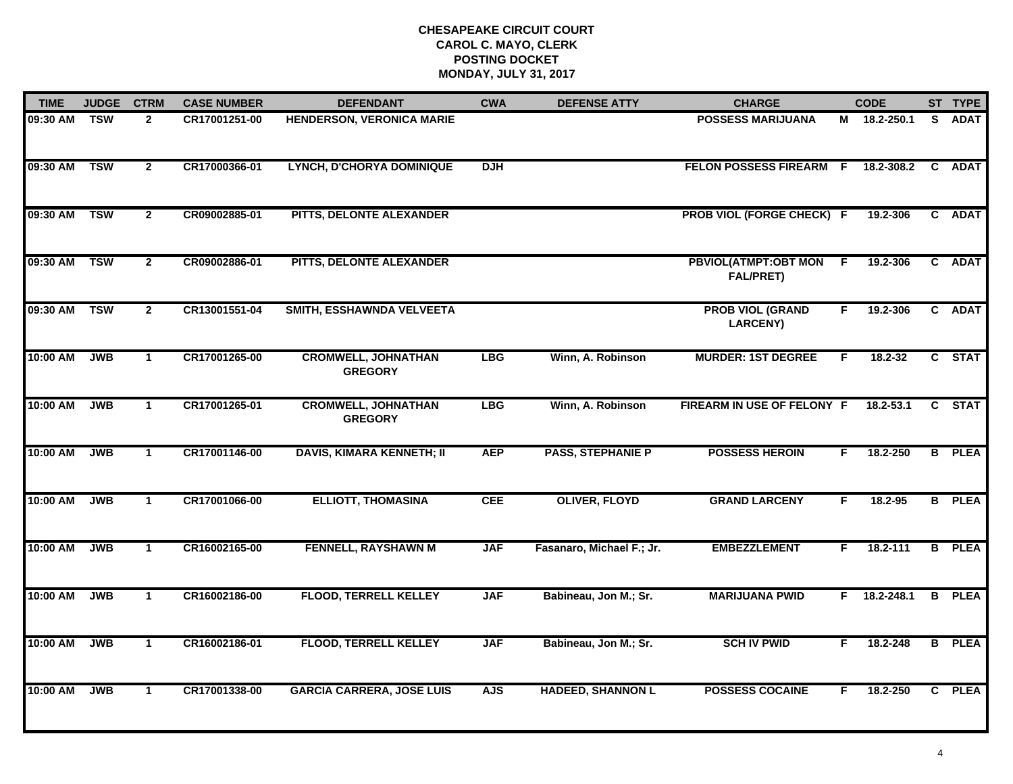| <b>TIME</b> | <b>JUDGE</b> | <b>CTRM</b>    | <b>CASE NUMBER</b> | <b>DEFENDANT</b>                             | <b>CWA</b> | <b>DEFENSE ATTY</b>       | <b>CHARGE</b>                                   |    | <b>CODE</b>  |    | ST TYPE       |
|-------------|--------------|----------------|--------------------|----------------------------------------------|------------|---------------------------|-------------------------------------------------|----|--------------|----|---------------|
| 09:30 AM    | <b>TSW</b>   | $\mathbf{2}$   | CR17001251-00      | <b>HENDERSON, VERONICA MARIE</b>             |            |                           | <b>POSSESS MARIJUANA</b>                        |    | M 18.2-250.1 | S. | <b>ADAT</b>   |
| 09:30 AM    | <b>TSW</b>   | $\overline{2}$ | CR17000366-01      | LYNCH, D'CHORYA DOMINIQUE                    | <b>DJH</b> |                           | FELON POSSESS FIREARM F                         |    | 18.2-308.2   | C  | <b>ADAT</b>   |
| 09:30 AM    | <b>TSW</b>   | $\mathbf{2}$   | CR09002885-01      | PITTS, DELONTE ALEXANDER                     |            |                           | <b>PROB VIOL (FORGE CHECK) F</b>                |    | 19.2-306     |    | C ADAT        |
| 09:30 AM    | <b>TSW</b>   | $\mathbf{2}$   | CR09002886-01      | PITTS, DELONTE ALEXANDER                     |            |                           | <b>PBVIOL(ATMPT:OBT MON</b><br><b>FAL/PRET)</b> | -F | 19.2-306     |    | C ADAT        |
| 09:30 AM    | <b>TSW</b>   | $\mathbf{2}$   | CR13001551-04      | SMITH, ESSHAWNDA VELVEETA                    |            |                           | <b>PROB VIOL (GRAND</b><br><b>LARCENY)</b>      | F. | 19.2-306     |    | C ADAT        |
| 10:00 AM    | <b>JWB</b>   | $\mathbf{1}$   | CR17001265-00      | <b>CROMWELL, JOHNATHAN</b><br><b>GREGORY</b> | <b>LBG</b> | Winn, A. Robinson         | <b>MURDER: 1ST DEGREE</b>                       | F  | 18.2-32      |    | C STAT        |
| 10:00 AM    | <b>JWB</b>   | $\mathbf{1}$   | CR17001265-01      | <b>CROMWELL, JOHNATHAN</b><br><b>GREGORY</b> | <b>LBG</b> | Winn, A. Robinson         | FIREARM IN USE OF FELONY F                      |    | 18.2-53.1    |    | C STAT        |
| 10:00 AM    | <b>JWB</b>   | $\mathbf{1}$   | CR17001146-00      | <b>DAVIS, KIMARA KENNETH; II</b>             | <b>AEP</b> | <b>PASS, STEPHANIE P</b>  | <b>POSSESS HEROIN</b>                           | F. | 18.2-250     |    | <b>B</b> PLEA |
| 10:00 AM    | <b>JWB</b>   | $\mathbf 1$    | CR17001066-00      | <b>ELLIOTT, THOMASINA</b>                    | <b>CEE</b> | <b>OLIVER, FLOYD</b>      | <b>GRAND LARCENY</b>                            | F  | 18.2-95      |    | <b>B</b> PLEA |
| 10:00 AM    | <b>JWB</b>   | $\mathbf{1}$   | CR16002165-00      | <b>FENNELL, RAYSHAWN M</b>                   | <b>JAF</b> | Fasanaro, Michael F.; Jr. | <b>EMBEZZLEMENT</b>                             | F. | 18.2-111     |    | <b>B</b> PLEA |
| 10:00 AM    | <b>JWB</b>   | $\mathbf{1}$   | CR16002186-00      | <b>FLOOD, TERRELL KELLEY</b>                 | <b>JAF</b> | Babineau, Jon M.; Sr.     | <b>MARIJUANA PWID</b>                           | F. | 18.2-248.1   |    | <b>B</b> PLEA |
| 10:00 AM    | <b>JWB</b>   | $\mathbf{1}$   | CR16002186-01      | <b>FLOOD, TERRELL KELLEY</b>                 | <b>JAF</b> | Babineau, Jon M.; Sr.     | <b>SCH IV PWID</b>                              | F. | 18.2-248     |    | <b>B</b> PLEA |
| 10:00 AM    | <b>JWB</b>   | $\mathbf 1$    | CR17001338-00      | <b>GARCIA CARRERA, JOSE LUIS</b>             | <b>AJS</b> | <b>HADEED, SHANNON L</b>  | <b>POSSESS COCAINE</b>                          | F. | 18.2-250     |    | C PLEA        |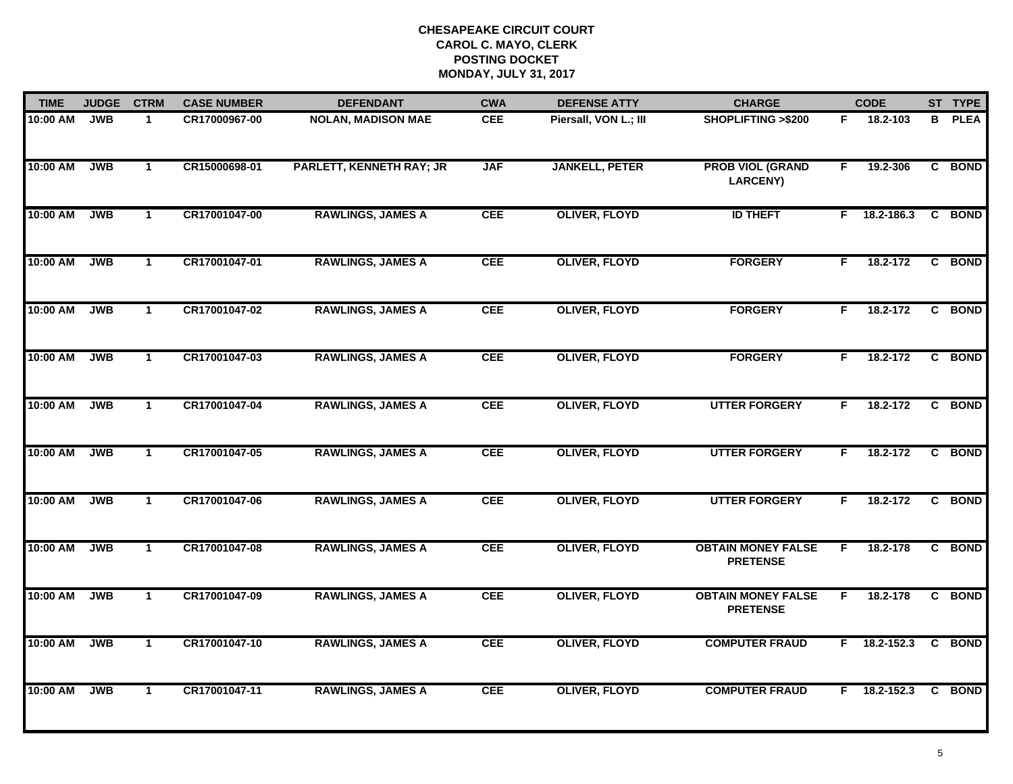| <b>TIME</b> | <b>JUDGE</b> | <b>CTRM</b>    | <b>CASE NUMBER</b> | <b>DEFENDANT</b>                | <b>CWA</b> | <b>DEFENSE ATTY</b>   | <b>CHARGE</b>                                |    | <b>CODE</b>    | ST TYPE       |
|-------------|--------------|----------------|--------------------|---------------------------------|------------|-----------------------|----------------------------------------------|----|----------------|---------------|
| 10:00 AM    | <b>JWB</b>   | $\mathbf{1}$   | CR17000967-00      | <b>NOLAN, MADISON MAE</b>       | <b>CEE</b> | Piersall, VON L.; III | SHOPLIFTING >\$200                           | F. | 18.2-103       | <b>B</b> PLEA |
| 10:00 AM    | <b>JWB</b>   | $\mathbf{1}$   | CR15000698-01      | <b>PARLETT, KENNETH RAY; JR</b> | <b>JAF</b> | <b>JANKELL, PETER</b> | <b>PROB VIOL (GRAND</b><br><b>LARCENY)</b>   | F. | 19.2-306       | C BOND        |
| 10:00 AM    | <b>JWB</b>   | $\mathbf 1$    | CR17001047-00      | <b>RAWLINGS, JAMES A</b>        | <b>CEE</b> | <b>OLIVER, FLOYD</b>  | <b>ID THEFT</b>                              | F. | 18.2-186.3     | C BOND        |
| 10:00 AM    | <b>JWB</b>   | $\mathbf{1}$   | CR17001047-01      | <b>RAWLINGS, JAMES A</b>        | <b>CEE</b> | <b>OLIVER, FLOYD</b>  | <b>FORGERY</b>                               | F. | $18.2 - 172$   | C BOND        |
| 10:00 AM    | <b>JWB</b>   | $\mathbf{1}$   | CR17001047-02      | <b>RAWLINGS, JAMES A</b>        | <b>CEE</b> | <b>OLIVER, FLOYD</b>  | <b>FORGERY</b>                               | F. | 18.2-172       | C BOND        |
| 10:00 AM    | <b>JWB</b>   | $\mathbf{1}$   | CR17001047-03      | <b>RAWLINGS, JAMES A</b>        | <b>CEE</b> | <b>OLIVER, FLOYD</b>  | <b>FORGERY</b>                               | F  | 18.2-172       | C BOND        |
| 10:00 AM    | <b>JWB</b>   | $\overline{1}$ | CR17001047-04      | <b>RAWLINGS, JAMES A</b>        | <b>CEE</b> | <b>OLIVER, FLOYD</b>  | <b>UTTER FORGERY</b>                         | F. | 18.2-172       | C BOND        |
| 10:00 AM    | <b>JWB</b>   | $\mathbf{1}$   | CR17001047-05      | <b>RAWLINGS, JAMES A</b>        | <b>CEE</b> | <b>OLIVER, FLOYD</b>  | <b>UTTER FORGERY</b>                         | F. | 18.2-172       | C BOND        |
| 10:00 AM    | <b>JWB</b>   | $\mathbf 1$    | CR17001047-06      | <b>RAWLINGS, JAMES A</b>        | <b>CEE</b> | <b>OLIVER, FLOYD</b>  | <b>UTTER FORGERY</b>                         | F  | 18.2-172       | C BOND        |
| 10:00 AM    | <b>JWB</b>   | $\mathbf{1}$   | CR17001047-08      | <b>RAWLINGS, JAMES A</b>        | <b>CEE</b> | <b>OLIVER, FLOYD</b>  | <b>OBTAIN MONEY FALSE</b><br><b>PRETENSE</b> | F. | 18.2-178       | C BOND        |
| 10:00 AM    | <b>JWB</b>   | $\mathbf{1}$   | CR17001047-09      | <b>RAWLINGS, JAMES A</b>        | <b>CEE</b> | <b>OLIVER, FLOYD</b>  | <b>OBTAIN MONEY FALSE</b><br><b>PRETENSE</b> | F. | 18.2-178       | C BOND        |
| 10:00 AM    | <b>JWB</b>   | $\mathbf{1}$   | CR17001047-10      | <b>RAWLINGS, JAMES A</b>        | <b>CEE</b> | <b>OLIVER, FLOYD</b>  | <b>COMPUTER FRAUD</b>                        |    | $F$ 18.2-152.3 | C BOND        |
| 10:00 AM    | <b>JWB</b>   | $\mathbf{1}$   | CR17001047-11      | <b>RAWLINGS, JAMES A</b>        | <b>CEE</b> | <b>OLIVER, FLOYD</b>  | <b>COMPUTER FRAUD</b>                        |    | $F$ 18.2-152.3 | C BOND        |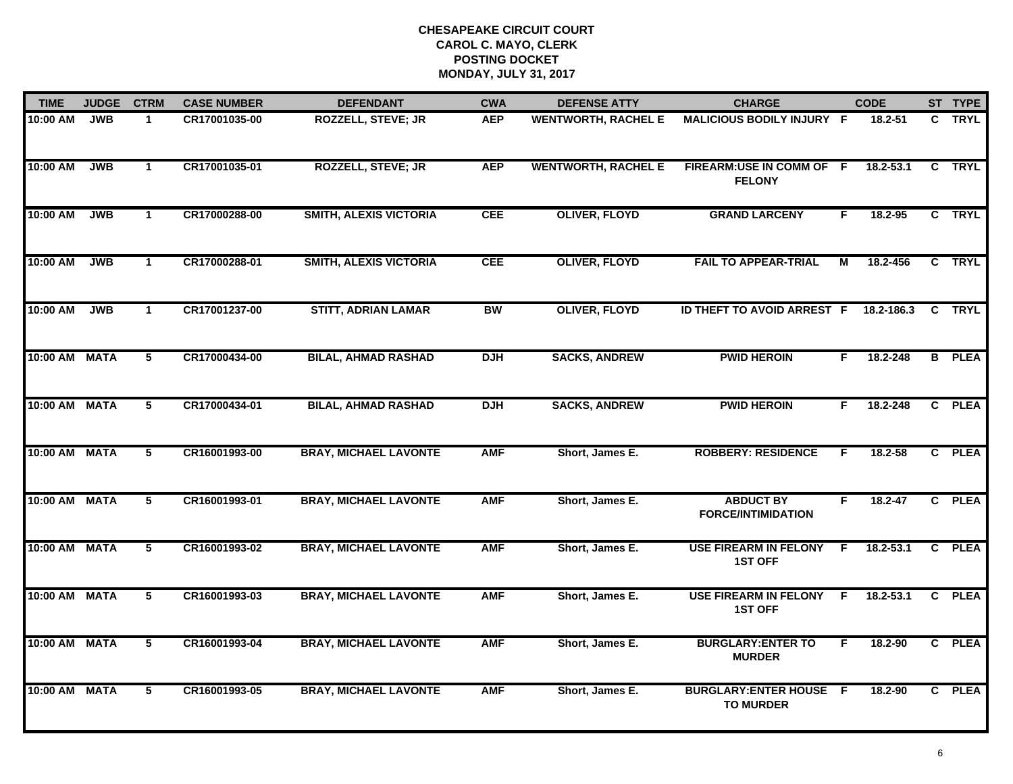| <b>TIME</b>   | <b>JUDGE</b> | <b>CTRM</b>          | <b>CASE NUMBER</b> | <b>DEFENDANT</b>              | <b>CWA</b> | <b>DEFENSE ATTY</b>        | <b>CHARGE</b>                                      |     | <b>CODE</b>   | ST TYPE       |
|---------------|--------------|----------------------|--------------------|-------------------------------|------------|----------------------------|----------------------------------------------------|-----|---------------|---------------|
| $10:00$ AM    | <b>JWB</b>   | $\mathbf{1}$         | CR17001035-00      | <b>ROZZELL, STEVE; JR</b>     | <b>AEP</b> | <b>WENTWORTH, RACHEL E</b> | MALICIOUS BODILY INJURY F                          |     | 18.2-51       | C TRYL        |
| 10:00 AM      | <b>JWB</b>   | $\mathbf{1}$         | CR17001035-01      | <b>ROZZELL, STEVE; JR</b>     | <b>AEP</b> | <b>WENTWORTH, RACHEL E</b> | FIREARM:USE IN COMM OF F<br><b>FELONY</b>          |     | $18.2 - 53.1$ | C TRYL        |
| 10:00 AM      | <b>JWB</b>   | $\mathbf{1}$         | CR17000288-00      | <b>SMITH, ALEXIS VICTORIA</b> | <b>CEE</b> | <b>OLIVER, FLOYD</b>       | <b>GRAND LARCENY</b>                               | F.  | 18.2-95       | C TRYL        |
| 10:00 AM      | <b>JWB</b>   | $\mathbf 1$          | CR17000288-01      | <b>SMITH, ALEXIS VICTORIA</b> | <b>CEE</b> | <b>OLIVER, FLOYD</b>       | <b>FAIL TO APPEAR-TRIAL</b>                        | M   | 18.2-456      | C TRYL        |
| 10:00 AM      | <b>JWB</b>   | $\blacktriangleleft$ | CR17001237-00      | <b>STITT, ADRIAN LAMAR</b>    | <b>BW</b>  | <b>OLIVER, FLOYD</b>       | ID THEFT TO AVOID ARREST F                         |     | 18.2-186.3    | C TRYL        |
| 10:00 AM MATA |              | $5\phantom{.0}$      | CR17000434-00      | <b>BILAL, AHMAD RASHAD</b>    | <b>DJH</b> | <b>SACKS, ANDREW</b>       | <b>PWID HEROIN</b>                                 | F.  | 18.2-248      | <b>B</b> PLEA |
| 10:00 AM      | <b>MATA</b>  | $\overline{5}$       | CR17000434-01      | <b>BILAL, AHMAD RASHAD</b>    | <b>DJH</b> | <b>SACKS, ANDREW</b>       | <b>PWID HEROIN</b>                                 | F.  | 18.2-248      | C PLEA        |
| 10:00 AM      | <b>MATA</b>  | 5                    | CR16001993-00      | <b>BRAY, MICHAEL LAVONTE</b>  | <b>AMF</b> | Short, James E.            | <b>ROBBERY: RESIDENCE</b>                          | F   | 18.2-58       | C PLEA        |
| $10:00$ AM    | <b>MATA</b>  | 5                    | CR16001993-01      | <b>BRAY, MICHAEL LAVONTE</b>  | <b>AMF</b> | Short, James E.            | <b>ABDUCT BY</b><br><b>FORCE/INTIMIDATION</b>      | F   | $18.2 - 47$   | C PLEA        |
| 10:00 AM      | <b>MATA</b>  | 5                    | CR16001993-02      | <b>BRAY, MICHAEL LAVONTE</b>  | <b>AMF</b> | Short, James E.            | <b>USE FIREARM IN FELONY</b><br><b>1ST OFF</b>     | E   | $18.2 - 53.1$ | C PLEA        |
| 10:00 AM      | <b>MATA</b>  | $\overline{5}$       | CR16001993-03      | <b>BRAY, MICHAEL LAVONTE</b>  | <b>AMF</b> | Short, James E.            | <b>USE FIREARM IN FELONY</b><br><b>1ST OFF</b>     | -F. | $18.2 - 53.1$ | C PLEA        |
| 10:00 AM MATA |              | $\overline{5}$       | CR16001993-04      | <b>BRAY, MICHAEL LAVONTE</b>  | <b>AMF</b> | Short, James E.            | <b>BURGLARY: ENTER TO</b><br><b>MURDER</b>         | F.  | 18.2-90       | C PLEA        |
| 10:00 AM MATA |              | 5                    | CR16001993-05      | <b>BRAY, MICHAEL LAVONTE</b>  | <b>AMF</b> | Short, James E.            | <b>BURGLARY: ENTER HOUSE F</b><br><b>TO MURDER</b> |     | 18.2-90       | C PLEA        |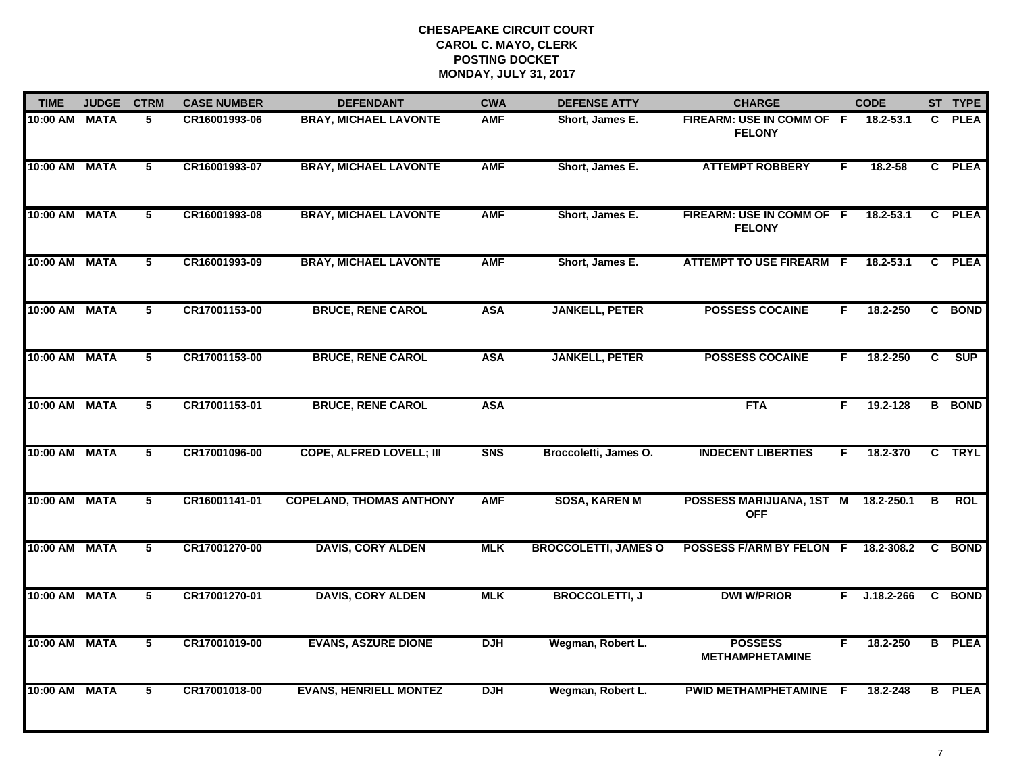| <b>TIME</b>   | <b>JUDGE</b> | <b>CTRM</b>    | <b>CASE NUMBER</b> | <b>DEFENDANT</b>                | <b>CWA</b>     | <b>DEFENSE ATTY</b>         | <b>CHARGE</b>                              |    | <b>CODE</b>    |                | ST TYPE       |
|---------------|--------------|----------------|--------------------|---------------------------------|----------------|-----------------------------|--------------------------------------------|----|----------------|----------------|---------------|
| 10:00 AM MATA |              | 5              | CR16001993-06      | <b>BRAY, MICHAEL LAVONTE</b>    | <b>AMF</b>     | Short, James E.             | FIREARM: USE IN COMM OF F<br><b>FELONY</b> |    | 18.2-53.1      | C.             | <b>PLEA</b>   |
| 10:00 AM MATA |              | 5              | CR16001993-07      | <b>BRAY, MICHAEL LAVONTE</b>    | <b>AMF</b>     | Short, James E.             | <b>ATTEMPT ROBBERY</b>                     | F  | 18.2-58        | $\mathbf{C}$   | <b>PLEA</b>   |
| 10:00 AM MATA |              | 5              | CR16001993-08      | <b>BRAY, MICHAEL LAVONTE</b>    | <b>AMF</b>     | Short, James E.             | FIREARM: USE IN COMM OF F<br><b>FELONY</b> |    | 18.2-53.1      | $\mathbf{c}$   | <b>PLEA</b>   |
| 10:00 AM MATA |              | 5              | CR16001993-09      | <b>BRAY, MICHAEL LAVONTE</b>    | <b>AMF</b>     | Short, James E.             | <b>ATTEMPT TO USE FIREARM F</b>            |    | 18.2-53.1      | C.             | <b>PLEA</b>   |
| 10:00 AM MATA |              | 5              | CR17001153-00      | <b>BRUCE, RENE CAROL</b>        | <b>ASA</b>     | <b>JANKELL, PETER</b>       | <b>POSSESS COCAINE</b>                     | F. | 18.2-250       |                | C BOND        |
| 10:00 AM MATA |              | 5              | CR17001153-00      | <b>BRUCE, RENE CAROL</b>        | <b>ASA</b>     | <b>JANKELL, PETER</b>       | <b>POSSESS COCAINE</b>                     | F. | 18.2-250       | C.             | SUP           |
| 10:00 AM MATA |              | $\overline{5}$ | CR17001153-01      | <b>BRUCE, RENE CAROL</b>        | <b>ASA</b>     |                             | <b>FTA</b>                                 | F. | 19.2-128       | $\overline{B}$ | <b>BOND</b>   |
| 10:00 AM MATA |              | $\overline{5}$ | CR17001096-00      | <b>COPE, ALFRED LOVELL; III</b> | S <sub>N</sub> | Broccoletti, James O.       | <b>INDECENT LIBERTIES</b>                  | F  | 18.2-370       |                | C TRYL        |
| 10:00 AM MATA |              | 5              | CR16001141-01      | <b>COPELAND, THOMAS ANTHONY</b> | <b>AMF</b>     | <b>SOSA, KAREN M</b>        | POSSESS MARIJUANA, 1ST M<br><b>OFF</b>     |    | 18.2-250.1     | B              | <b>ROL</b>    |
| 10:00 AM MATA |              | 5              | CR17001270-00      | <b>DAVIS, CORY ALDEN</b>        | <b>MLK</b>     | <b>BROCCOLETTI, JAMES O</b> | POSSESS F/ARM BY FELON F                   |    | 18.2-308.2     | C.             | <b>BOND</b>   |
| 10:00 AM MATA |              | 5              | CR17001270-01      | <b>DAVIS, CORY ALDEN</b>        | <b>MLK</b>     | <b>BROCCOLETTI, J</b>       | <b>DWI W/PRIOR</b>                         | F. | $J.18.2 - 266$ | $\mathbf{c}$   | <b>BOND</b>   |
| 10:00 AM MATA |              | $\overline{5}$ | CR17001019-00      | <b>EVANS, ASZURE DIONE</b>      | <b>DJH</b>     | Wegman, Robert L.           | <b>POSSESS</b><br><b>METHAMPHETAMINE</b>   | F. | 18.2-250       |                | <b>B</b> PLEA |
| 10:00 AM MATA |              | 5              | CR17001018-00      | <b>EVANS, HENRIELL MONTEZ</b>   | <b>DJH</b>     | Wegman, Robert L.           | PWID METHAMPHETAMINE F                     |    | 18.2-248       | B              | <b>PLEA</b>   |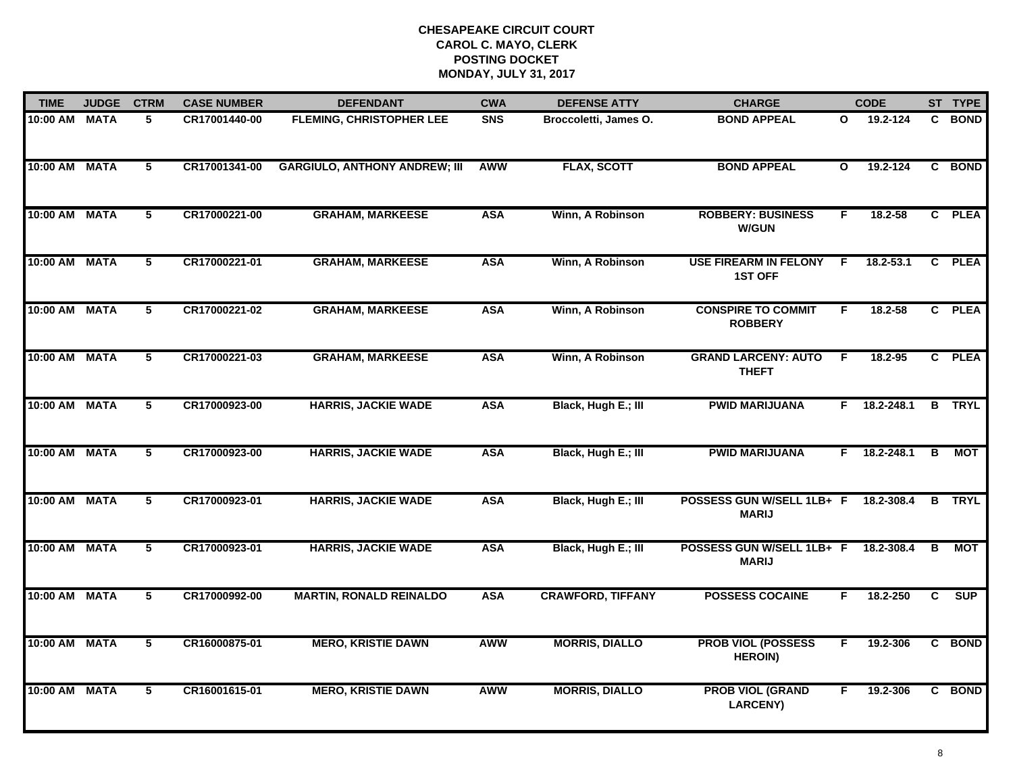| <b>TIME</b>   | <b>JUDGE</b> | <b>CTRM</b>             | <b>CASE NUMBER</b> | <b>DEFENDANT</b>                     | <b>CWA</b> | <b>DEFENSE ATTY</b>      | <b>CHARGE</b>                                  |              | <b>CODE</b>    |          | ST TYPE       |
|---------------|--------------|-------------------------|--------------------|--------------------------------------|------------|--------------------------|------------------------------------------------|--------------|----------------|----------|---------------|
| 10:00 AM MATA |              | 5                       | CR17001440-00      | <b>FLEMING, CHRISTOPHER LEE</b>      | <b>SNS</b> | Broccoletti, James O.    | <b>BOND APPEAL</b>                             | O            | 19.2-124       |          | C BOND        |
| 10:00 AM MATA |              | $\overline{\mathbf{5}}$ | CR17001341-00      | <b>GARGIULO, ANTHONY ANDREW; III</b> | <b>AWW</b> | <b>FLAX, SCOTT</b>       | <b>BOND APPEAL</b>                             | $\mathbf{o}$ | 19.2-124       |          | C BOND        |
| 10:00 AM MATA |              | 5                       | CR17000221-00      | <b>GRAHAM, MARKEESE</b>              | <b>ASA</b> | Winn, A Robinson         | <b>ROBBERY: BUSINESS</b><br><b>W/GUN</b>       | F            | 18.2-58        |          | C PLEA        |
| 10:00 AM MATA |              | 5                       | CR17000221-01      | <b>GRAHAM, MARKEESE</b>              | <b>ASA</b> | Winn, A Robinson         | <b>USE FIREARM IN FELONY</b><br><b>1ST OFF</b> | F.           | 18.2-53.1      |          | C PLEA        |
| 10:00 AM      | <b>MATA</b>  | 5                       | CR17000221-02      | <b>GRAHAM, MARKEESE</b>              | <b>ASA</b> | Winn, A Robinson         | <b>CONSPIRE TO COMMIT</b><br><b>ROBBERY</b>    | F.           | 18.2-58        |          | C PLEA        |
| 10:00 AM MATA |              | $\overline{5}$          | CR17000221-03      | <b>GRAHAM, MARKEESE</b>              | <b>ASA</b> | Winn, A Robinson         | <b>GRAND LARCENY: AUTO</b><br><b>THEFT</b>     | -F.          | 18.2-95        |          | C PLEA        |
| 10:00 AM MATA |              | $5\phantom{.0}$         | CR17000923-00      | <b>HARRIS, JACKIE WADE</b>           | <b>ASA</b> | Black, Hugh E.; III      | <b>PWID MARIJUANA</b>                          |              | $F$ 18.2-248.1 |          | <b>B</b> TRYL |
| 10:00 AM MATA |              | 5                       | CR17000923-00      | <b>HARRIS, JACKIE WADE</b>           | <b>ASA</b> | Black, Hugh E.; III      | <b>PWID MARIJUANA</b>                          | F.           | 18.2-248.1     | B        | МОТ           |
| 10:00 AM      | <b>MATA</b>  | 5                       | CR17000923-01      | <b>HARRIS, JACKIE WADE</b>           | <b>ASA</b> | Black, Hugh E.; III      | POSSESS GUN W/SELL 1LB+ F<br><b>MARIJ</b>      |              | 18.2-308.4     | <b>B</b> | <b>TRYL</b>   |
| 10:00 AM      | <b>MATA</b>  | 5                       | CR17000923-01      | <b>HARRIS, JACKIE WADE</b>           | <b>ASA</b> | Black, Hugh E.; III      | POSSESS GUN W/SELL 1LB+ F<br><b>MARIJ</b>      |              | 18.2-308.4     | В        | MOT           |
| 10:00 AM MATA |              | $5\phantom{.0}$         | CR17000992-00      | <b>MARTIN, RONALD REINALDO</b>       | <b>ASA</b> | <b>CRAWFORD, TIFFANY</b> | <b>POSSESS COCAINE</b>                         | F.           | 18.2-250       | C        | <b>SUP</b>    |
| 10:00 AM      | <b>MATA</b>  | $\overline{5}$          | CR16000875-01      | <b>MERO, KRISTIE DAWN</b>            | <b>AWW</b> | <b>MORRIS, DIALLO</b>    | <b>PROB VIOL (POSSESS</b><br><b>HEROIN)</b>    | F            | 19.2-306       |          | C BOND        |
| 10:00 AM MATA |              | 5                       | CR16001615-01      | <b>MERO, KRISTIE DAWN</b>            | <b>AWW</b> | <b>MORRIS, DIALLO</b>    | <b>PROB VIOL (GRAND</b><br><b>LARCENY)</b>     | F.           | 19.2-306       |          | C BOND        |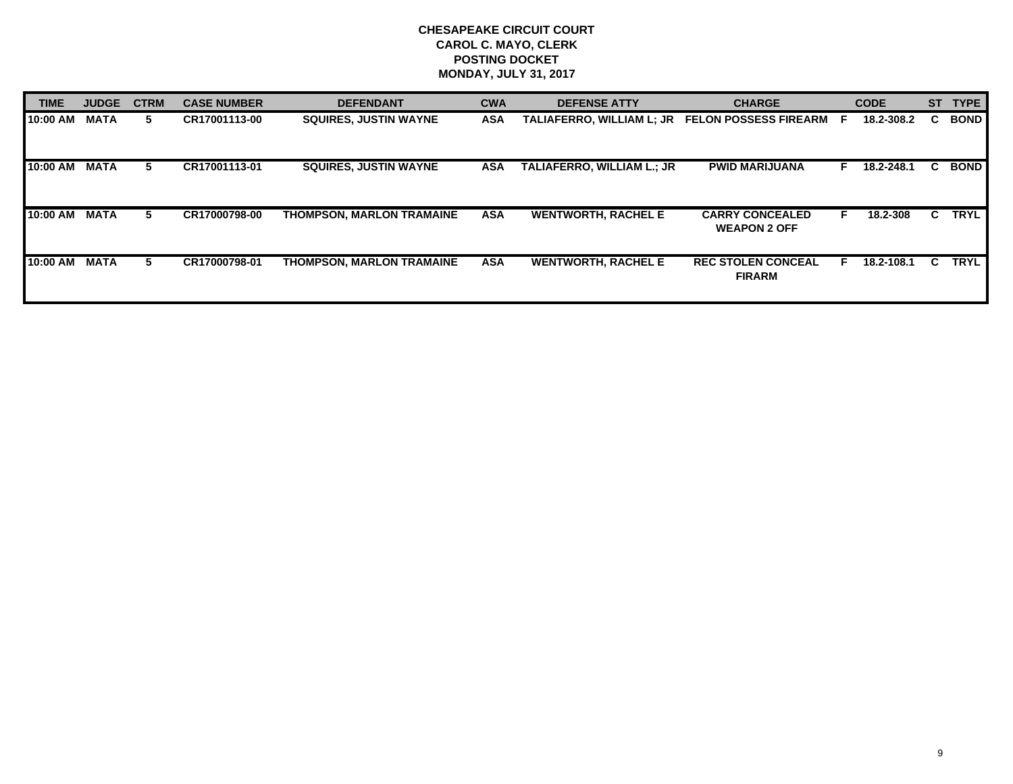| TIME     | <b>JUDGE</b> | <b>CTRM</b> | <b>CASE NUMBER</b> | <b>DEFENDANT</b>                 | <b>CWA</b> | <b>DEFENSE ATTY</b>              | <b>CHARGE</b>                                 |   | <b>CODE</b> | <b>ST</b> | <b>TYPE</b> |
|----------|--------------|-------------|--------------------|----------------------------------|------------|----------------------------------|-----------------------------------------------|---|-------------|-----------|-------------|
| 10:00 AM | <b>MATA</b>  | 5.          | CR17001113-00      | <b>SQUIRES. JUSTIN WAYNE</b>     | ASA        | <b>TALIAFERRO. WILLIAM L: JR</b> | <b>FELON POSSESS FIREARM</b>                  | E | 18.2-308.2  | C.        | <b>BOND</b> |
| 10:00 AM | <b>MATA</b>  | 5           | CR17001113-01      | <b>SQUIRES, JUSTIN WAYNE</b>     | ASA        | TALIAFERRO, WILLIAM L.; JR       | <b>PWID MARIJUANA</b>                         |   | 18.2-248.1  | C.        | <b>BOND</b> |
| 10:00 AM | <b>MATA</b>  | 5.          | CR17000798-00      | <b>THOMPSON, MARLON TRAMAINE</b> | <b>ASA</b> | <b>WENTWORTH, RACHEL E</b>       | <b>CARRY CONCEALED</b><br><b>WEAPON 2 OFF</b> | F | 18.2-308    | C.        | <b>TRYL</b> |
| 10:00 AM | <b>MATA</b>  | 5.          | CR17000798-01      | <b>THOMPSON, MARLON TRAMAINE</b> | <b>ASA</b> | <b>WENTWORTH, RACHEL E</b>       | <b>REC STOLEN CONCEAL</b><br><b>FIRARM</b>    |   | 18.2-108.1  | C.        | <b>TRYL</b> |